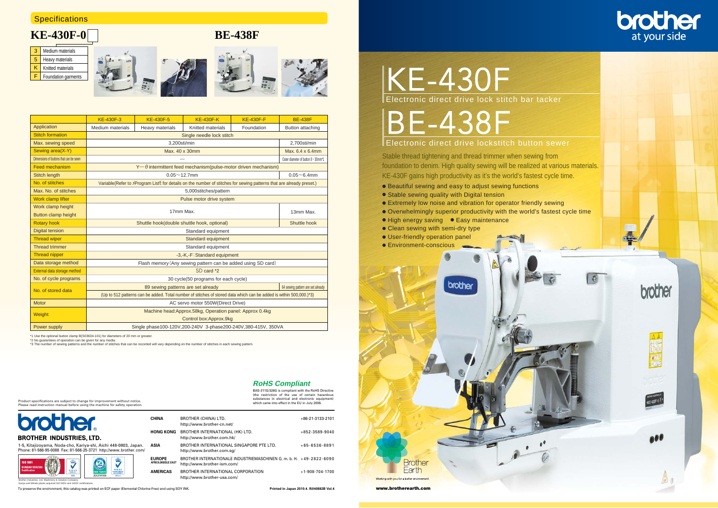- 
- 
- 
- 
- 
- 
- User-friendly operation panel
- 

# KE-430F













.<br>48-0803, Japan. Phone: 81-566-95-0088 Fax: 81-566-25-3721 http://www. brother. com/ **ASIA**



|                                        | <b>KE-430F-3</b>                                                                                                    | <b>KE-430F-5</b>         | <b>KE-430F-K</b>                                                                                                       | <b>KE-430F-F</b> | <b>BE-438F</b>                      |  |  |  |  |  |  |
|----------------------------------------|---------------------------------------------------------------------------------------------------------------------|--------------------------|------------------------------------------------------------------------------------------------------------------------|------------------|-------------------------------------|--|--|--|--|--|--|
| Application                            | Medium materials                                                                                                    | Heavy materials          | Knitted materials                                                                                                      | Foundation       | Button attaching                    |  |  |  |  |  |  |
| <b>Stitch formation</b>                |                                                                                                                     |                          | Single needle lock stitch                                                                                              |                  |                                     |  |  |  |  |  |  |
| Max. sewing speed                      |                                                                                                                     | 3.200sti/min             |                                                                                                                        |                  | 2.700sti/min                        |  |  |  |  |  |  |
| Sewing area(X-Y)                       |                                                                                                                     | Max. 40 x 30mm           |                                                                                                                        |                  | Max. 6.4 x 6.4mm                    |  |  |  |  |  |  |
| Dimensions of buttons that can be sewn |                                                                                                                     |                          |                                                                                                                        |                  | Outer diameter of button 8 - 30mm*1 |  |  |  |  |  |  |
| <b>Feed mechanism</b>                  |                                                                                                                     |                          | $Y$ $\rightarrow$ $\theta$ intermittent feed mechanism(pulse-motor driven mechanism)                                   |                  |                                     |  |  |  |  |  |  |
| <b>Stitch length</b>                   |                                                                                                                     | $0.05 - 12.7$ mm         |                                                                                                                        |                  | $0.05 - 6.4$ mm                     |  |  |  |  |  |  |
| No. of stitches                        |                                                                                                                     |                          | Variable (Refer to XProgram List E for details on the number of stitches for sewing patterns that are already preset.) |                  |                                     |  |  |  |  |  |  |
| Max. No. of stitches                   |                                                                                                                     |                          | 5,000stitches/pattern                                                                                                  |                  |                                     |  |  |  |  |  |  |
| Work clamp lifter                      |                                                                                                                     | Pulse motor drive system |                                                                                                                        |                  |                                     |  |  |  |  |  |  |
| Work clamp height                      |                                                                                                                     |                          |                                                                                                                        |                  |                                     |  |  |  |  |  |  |
| Button clamp height                    |                                                                                                                     |                          | 17mm Max.                                                                                                              |                  | 13mm Max.                           |  |  |  |  |  |  |
| <b>Rotary hook</b>                     |                                                                                                                     |                          | Shuttle hook(double shuttle hook, optional)                                                                            |                  | Shuttle hook                        |  |  |  |  |  |  |
| <b>Digital tension</b>                 |                                                                                                                     |                          | Standard equipment                                                                                                     |                  |                                     |  |  |  |  |  |  |
| <b>Thread wiper</b>                    |                                                                                                                     |                          | Standard equipment                                                                                                     |                  |                                     |  |  |  |  |  |  |
| <b>Thread trimmer</b>                  |                                                                                                                     |                          | Standard equipment                                                                                                     |                  |                                     |  |  |  |  |  |  |
| <b>Thread nipper</b>                   |                                                                                                                     |                          | -3,-K,-F:Standard equipment                                                                                            |                  |                                     |  |  |  |  |  |  |
| Data storage method                    |                                                                                                                     |                          | Flash memory (Any sewing pattern can be added using SD card)                                                           |                  |                                     |  |  |  |  |  |  |
| External data storage method           |                                                                                                                     |                          | SD card *2                                                                                                             |                  |                                     |  |  |  |  |  |  |
| No. of cycle programs                  |                                                                                                                     |                          | 30 cycle(50 programs for each cycle)                                                                                   |                  |                                     |  |  |  |  |  |  |
| No. of stored data                     | 64 sewing pattern are set already<br>89 sewing patterns are set already                                             |                          |                                                                                                                        |                  |                                     |  |  |  |  |  |  |
|                                        | (Up to 512 patterns can be added. Total number of stitches of stored data which can be added is within 500,000.)*3) |                          |                                                                                                                        |                  |                                     |  |  |  |  |  |  |
| <b>Motor</b>                           |                                                                                                                     |                          | AC servo motor 550W(Direct Drive)                                                                                      |                  |                                     |  |  |  |  |  |  |
|                                        |                                                                                                                     |                          | Machine head: Approx. 58kg, Operation panel: Approx 0.4kg                                                              |                  |                                     |  |  |  |  |  |  |
| Weight                                 |                                                                                                                     |                          | Control box: Approx. 9kg                                                                                               |                  |                                     |  |  |  |  |  |  |
| Power supply                           | Single phase100-120V,200-240V 3-phase200-240V,380-415V, 350VA                                                       |                          |                                                                                                                        |                  |                                     |  |  |  |  |  |  |

\*1 Use the optional button clamp B(S03634-101) for diameters of 20 mm or greater. \*2 No guarantees of operation can be given for any media.

\*3 The number of sewing patterns and the number of stitches that can be recorded will vary depending on the number of stitches in each sewing pattern.

## **Specifications**

# **KE-430F-0 BE-438F**

**Printed in Japan 2010.4. I5040882B Vol.4**

Product specifications are subject to change for improvement without notice. Please read instruction manual before using the machine for safety operation.

| brother                                           |
|---------------------------------------------------|
| <b>BROTHER INDUSTRIES, LTD.</b>                   |
| 1-5. Kitajizovama, Noda-cho, Kariva-shi, Aichi 44 |

To preserve the environment, this catalog was printed on ECF paper (Elemental Chlorine-Free) and using SOY INK.

Brother Industries, Ltd. Machinery & Solution Company Kariya and Minato plants acquired ISO 9001 and 14001 certifications. **CHINA**

**EUROPE AFRICA,MIDDLE EAST AMERICAS**

**HONG KONG** BROTHER INTERNATIONAL (HK) LTD.

BROTHER (CHINA) LTD. http://www.brother-cn.net/

http://www.brother.com.hk/

BROTHER INTERNATIONAL SINGAPORE PTE LTD.

http://www.brother.com.sg/

http://www.brother-ism.com/

BROTHER INTERNATIONAL CORPORATION

BROTHER INTERNATIONALE INDUSTRIEMASCHINEN G. m. b. H. +49-2822-6090

http://www.brother-usa.com/

+86-21-3133-2101

+852-3589-9040

+65-6536-8891

+1-908-704-1700

BAS-311G/326G is compliant with the RoHS Directive (the restriction of the use of certain hazardous substances in electrical and electronic equipment which came into effect in the EU in July 2006. **RoHS Compliant**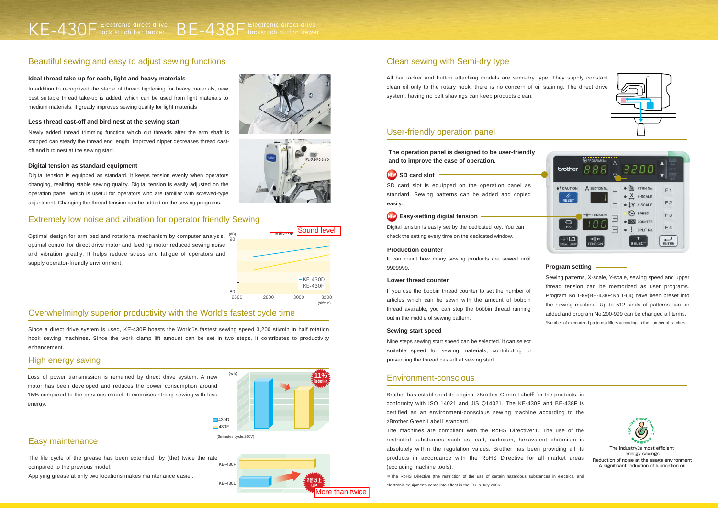## Beautiful sewing and easy to adjust sewing functions

Optimal design for arm bed and rotational mechanism by computer analysis,  $\frac{105}{90}$ optimal control for direct drive motor and feeding motor reduced sewing noise and vibration greatly. It helps reduce stress and fatigue of operators and supply operator-friendly environment.

Since a direct drive system is used, KE-430F boasts the World<sup>1</sup>s fastest sewing speed 3,200 sti/min in half rotation hook sewing machines. Since the work clamp lift amount can be set in two steps, it contributes to productivity enhancement.

### Extremely low noise and vibration for operator friendly Sewing

In addition to recognized the stable of thread tightening for heavy materials, new best suitable thread take-up is added, which can be used from light materials to medium materials. It greatly improves sewing quality for light materials

### Overwhelmingly superior productivity with the World's fastest cycle time

Digital tension is equipped as standard. It keeps tension evenly when operators changing, realizing stable sewing quality. Digital tension is easily adjusted on the operation panel, which is useful for operators who are familiar with screwed-type adjustment. Changing the thread tension can be added on the sewing programs.

Loss of power transmission is remained by direct drive system. A new motor has been developed and reduces the power consumption around 15% compared to the previous model. It exercises strong sewing with less energy.

#### High energy saving

#### **Ideal thread take-up for each, light and heavy materials**

It can count how many sewing products are sewed until 9999999.

Newly added thread trimming function which cut threads after the arm shaft is stopped can steady the thread end length. Improved nipper decreases thread castoff and bird nest at the sewing start.

#### **Less thread cast-off and bird nest at the sewing start**

#### **Digital tension as standard equipment**

SD card slot is equipped on the operation panel as standard. Sewing patterns can be added and copied easily.

#### **NEW** Easy-setting digital tension



Digital tension is easily set by the dedicated key. You can check the setting every time on the dedicated window.

> Sewing patterns, X-scale, Y-scale, sewing speed and upper thread tension can be memorized as user programs. Program No.1-89(BE-438F:No.1-64) have been preset into the sewing machine. Up to 512 kinds of patterns can be added and program No.200-999 can be changed all terms. \*Number of memorized patterns differs according to the number of stitches.



#### **Program setting**

#### **Production counter**

If you use the bobbin thread counter to set the number of articles which can be sewn with the amount of bobbin thread available, you can stop the bobbin thread running out in the middle of sewing pattern.

#### **Lower thread counter**

Nine steps sewing start speed can be selected. It can select suitable speed for sewing materials, contributing to preventing the thread cast-off at sewing start.

#### **Sewing start speed**

### Easy maintenance

All bar tacker and button attaching models are semi-dry type. They supply constant clean oil only to the rotary hook, there is no concern of oil staining. The direct drive system, having no belt shavings can keep products clean.

# Clean sewing with Semi-dry type

Brother has established its original メBrother Green Labelモ for the products, in conformity with ISO 14021 and JIS Q14021. The KE-430F and BE-438F is certified as an environment-conscious sewing machine according to the メBrother Green Labelモ standard.

The machines are compliant with the RoHS Directive\*1. The use of the restricted substances such as lead, cadmium, hexavalent chromium is absolutely within the regulation values. Brother has been providing all its products in accordance with the RoHS Directive for all market areas (excluding machine tools).

\*The RoHS Directive (the restriction of the use of certain hazardous substances in electrical and electronic equipment) came into effect in the EU in July 2006.





#### Environment-conscious

**The operation panel is designed to be user-friendly and to improve the ease of operation.**

## User-friendly operation panel

Applying grease at only two locations makes maintenance easier.



The life cycle of the grease has been extended by (the) twice the rate compared to the previous model. KE-430F

The industryユs most efficient energy savings Reduction of noise at the usage environment A significant reduction of lubrication oil



KE-430D **DESIGN CONTROL** 



2倍以上



More than twice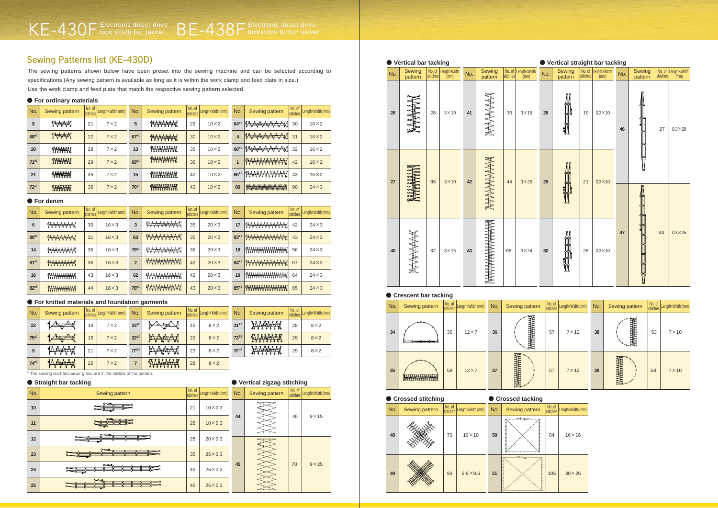The sewing patterns shown below have been preset into the sewing machine and can be selected according to specifications.(Any sewing pattern is available as long as it is within the work clamp and feed plate in size.) Use the work clamp and feed plate that match the respective sewing pattern selected.

# Sewing Patterns list (KE-430D)

| No.    | <b>Sewing pattern</b>    | No. of<br>stitches | Length×Width (mm) | No.       | <b>Sewing pattern</b> | No. of<br>stitches | Length×Width (mm) | No.   | <b>Sewing pattern</b>                  | No. of<br>stitches | Length×Width (mm) |
|--------|--------------------------|--------------------|-------------------|-----------|-----------------------|--------------------|-------------------|-------|----------------------------------------|--------------------|-------------------|
| 8      | Vertil                   | 21                 | $7\times2$        | 5         | <del>{X}{X}{X}</del>  | 29                 | $10\times2$       | $64*$ | ◢ <del><sub></sub>ᡣᡐᠶᢓᢋᢣᢋᡃᢋᡃᢋᡘ</del>   | 30                 | $16\times2$       |
| $68*1$ | Vertex                   | 22                 | $7\times2$        | $67*1$    | <b>WARACHI</b>        | 30                 | $10\times2$       | 4     | <i>{A<del>AAAAAA</del>A</i>            | 31                 | $16\times2$       |
| 20     | W <del>WW</del> W        | 28                 | $7\times2$        | 13        | <b>WWWWW</b>          | 35                 | $10\times2$       | 66*   | <sub>∦</sub> ᢤᠧ <del>᠘ᡒᢥᡒᢥᡒᢢᢏ</del> ᢥᡣ | 32                 | $16\times2$       |
| $71*1$ | WHAHA                    | 29                 | $7\times2$        | $69*1$    |                       | 36                 | $10\times2$       |       | <i><b>WAAAAAAAAA</b></i>               | 42                 | $16\times2$       |
| 21     | <b>IN<del>NAN</del>A</b> | 35                 | $7\times2$        | 15        | <b>THURSDAY</b>       | 42                 | $10\times2$       | $65*$ | * <del>***********</del> *             | 43                 | $16\times2$       |
| $72*1$ | <b>INHUHHI</b>           | 36                 | $7\times2$        | $70^{*1}$ | <b>THURSDARY</b>      | 43                 | $10\times2$       | 89    | 1                                      | 90                 | $24\times3$       |



| No. of<br>stitches | Length×Width (mm) | No. | <b>Sewing pattern</b> | No. of<br>stitches | Length×Width (mm) |
|--------------------|-------------------|-----|-----------------------|--------------------|-------------------|
| 57                 | $7 \times 12$     | 38  |                       | 53                 | $7\times10$       |
| 57                 | $7 \times 12$     | 39  |                       | 53                 | $7\times 10$      |

|                                                                                                                                                                                                                                | No. of<br>stitches | Length×Width (mm) |
|--------------------------------------------------------------------------------------------------------------------------------------------------------------------------------------------------------------------------------|--------------------|-------------------|
|                                                                                                                                                                                                                                | 84                 | $16\times16$      |
| יונים בין הוא המונח המונח המונח המונח המונח המונח המונח המונח המונח המונח המונח המונח המונח המונח המונח המונח ה<br>באופן המונח המונח המונח המונח המונח המונח המונח המונח המונח המונח המונח המונח המונח המונח המונח המונח המונח | 105                | $30\times26$      |

|     | ● Vertical bar tacking |    |                                      |     |                   |                    |                      | ● Vertical straight bar tacking |                   |    |                                      |     |                      |                    |                 |
|-----|------------------------|----|--------------------------------------|-----|-------------------|--------------------|----------------------|---------------------------------|-------------------|----|--------------------------------------|-----|----------------------|--------------------|-----------------|
| No. | Sewing<br>pattern      |    | No. of Length×Width<br>stitches (mm) | No. | Sewing<br>pattern | No. of<br>stitches | Length×Width<br>(mm) | No.                             | Sewing<br>pattern |    | No. of Length×Width<br>stitches (mm) | No. | Sewing<br>pattern    | No. of<br>stitches | Length×Width    |
| 26  |                        | 28 | $3 \times 10$                        | 41  | NHHAAAA           | 36                 | $3 \times 16$        | 28                              | યુા               | 19 | $0.3 \times 10$                      | 46  | ₩                    | 27                 | $0.3\times20$   |
| 27  | 262                    | 35 | $3 \times 10$                        | 42  |                   | 44                 | $3\times 20$         | 29                              |                   | 21 | $0.3 \times 10$                      |     | I<br>y               |                    |                 |
| 40  | MANA                   | 32 | $3 \times 16$                        | 43  |                   | 68                 | $3 \times 24$        | 30                              | յյ                | 28 | $0.3 \times 10$                      | 47  | E THE REAL PROPERTY. | 44                 | $0.3 \times 25$ |

|           | ● For denim           |                    |                   |                |                                   |                    |                   |        |                           |                    |                   |  |  |  |
|-----------|-----------------------|--------------------|-------------------|----------------|-----------------------------------|--------------------|-------------------|--------|---------------------------|--------------------|-------------------|--|--|--|
| No.       | <b>Sewing pattern</b> | No. of<br>stitches | Length×Width (mm) | No.            | Sewing pattern                    | No. of<br>stitches | Length×Width (mm) | No.    | <b>Sewing pattern</b>     | No. of<br>stitches | Length×Width (mm) |  |  |  |
| 6         | <b>WWWW</b>           | 30                 | $16\times3$       | 3              | <b>∤∆⊁⊁⊁₩₩</b>                    | 35                 | $20\times3$       | 17     | I <del>WWWWWW</del>       | 42                 | $24\times3$       |  |  |  |
| $80^{*1}$ | <b>WAAAAA</b>         | 31                 | $16\times3$       | 63             | <b>INAAAAAAA</b>                  | 35                 | $20\times3$       | $83*1$ | 1A <del>VAAAAAAAA</del> A | 43                 | $24\times3$       |  |  |  |
| 14        | 1 <del>VVVVVV</del> N | 35                 | $16\times3$       | $79*1$         | <b>∤∆;<del>∆;∆</del>;∆;∆;∆;</b> { | 36                 | $20\times3$       | 18     | W <del>WWWWWWW</del>      | 56                 | $24\times3$       |  |  |  |
| $81*1$    | 1111111111            | 36                 | $16\times3$       | $\overline{2}$ | WAAAAAAAAA                        | 42                 | $20\times3$       | $84*1$ | <b>IMAAAAAAAAA</b>        | 57                 | $24\times3$       |  |  |  |
| 16        | <b>INNINNININI</b>    | 43                 | $16\times3$       | 62             | <b>IWWWWW</b>                     | 42                 | $20\times3$       | 19     | W <del>WWWWWWW</del>      | 64                 | $24\times3$       |  |  |  |
| $82*1$    | <b>WWWWWW</b>         | 44                 | $16\times3$       | $78*1$         | <b>WAAAAAAAA</b>                  | 43                 | $20\times3$       | $85*1$ | W <del>WWWWWWWW</del>     | 65                 | $24\times3$       |  |  |  |



| No.    | <b>Sewing pattern</b> | No. of | stitches LengthxWidth (mm) | No.       | Sewing pattern                       | No. of<br><b>stitches</b> | Length×Width (mm) | No.                     | Sewing pattern | No. of | stitches Length X Width (mm) |
|--------|-----------------------|--------|----------------------------|-----------|--------------------------------------|---------------------------|-------------------|-------------------------|----------------|--------|------------------------------|
| 22     |                       | 14     | $7\times2$                 | $33*2$    |                                      | 15                        | $8\times2$        | $31*2$                  | A fry Vi       | 28     | $8\times2$                   |
| $75*1$ | · so                  | 15     | $7\times2$                 | $32*2$    | የፈ<br>$\rightarrow$<br>$\mathcal{L}$ | 22                        | $8\times2$        | <b>73</b> <sup>*1</sup> | WATERAM        | 29     | $8\times2$                   |
| 9      | <u>of Lage A</u>      | 21     | $7\times2$                 | $77^{11}$ | የፊ<br>$2078A^{-8}$                   | 23                        | $8\times2$        | $76^{t1*2}$             | BAA BEARA      | 29     | $8\times2$                   |
| $74*1$ | Perfet<br>୶ୡ          | 22     | $7\times2$                 |           | <b>TAAAAAA</b>                       | 28                        | $8\times2$        |                         |                |        |                              |

|     | ● Straight bar tacking |    |                          | ● Vertical zigzag stitching |                |                    |                   |  |  |  |
|-----|------------------------|----|--------------------------|-----------------------------|----------------|--------------------|-------------------|--|--|--|
| No. | Sewing pattern         |    | No. of Length×Width (mm) | No.                         | Sewing pattern | No. of<br>stitches | Length×Width (mm) |  |  |  |
| 10  |                        | 21 | $10\times0.3$            |                             |                |                    |                   |  |  |  |
| 11  |                        | 28 | $10\times0.3$            | 44                          |                | 46                 | $9 \times 15$     |  |  |  |
| 12  | $\tilde{}$             | 28 | $20\times0.3$            |                             |                |                    |                   |  |  |  |
| 23  | $\sim$                 | 35 | $25 \times 0.3$          |                             |                |                    |                   |  |  |  |
| 24  | مصد                    | 42 | $25\times0.3$            | 45                          |                | 70                 | $9\times25$       |  |  |  |
| 25  | $\sim$                 | 45 | $25 \times 0.3$          |                             |                |                    |                   |  |  |  |

|  | ● For ordinary materials |  |
|--|--------------------------|--|
|  |                          |  |

#### ● **For knitted materials and foundation garments**

#### ● **Crescent bar tacking**

\* The sewing start and sewing end are in the middle of the pattern.